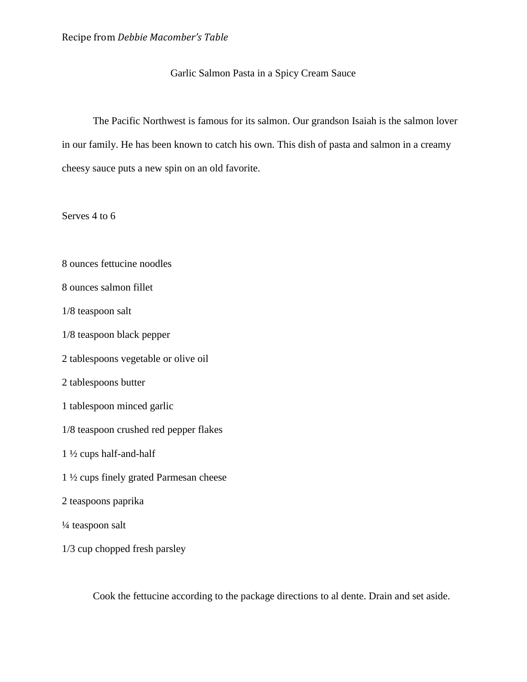## Garlic Salmon Pasta in a Spicy Cream Sauce

The Pacific Northwest is famous for its salmon. Our grandson Isaiah is the salmon lover in our family. He has been known to catch his own. This dish of pasta and salmon in a creamy cheesy sauce puts a new spin on an old favorite.

Serves 4 to 6

- 8 ounces fettucine noodles
- 8 ounces salmon fillet
- 1/8 teaspoon salt
- 1/8 teaspoon black pepper
- 2 tablespoons vegetable or olive oil
- 2 tablespoons butter
- 1 tablespoon minced garlic
- 1/8 teaspoon crushed red pepper flakes
- 1 ½ cups half-and-half
- 1 ½ cups finely grated Parmesan cheese
- 2 teaspoons paprika
- ¼ teaspoon salt
- 1/3 cup chopped fresh parsley

Cook the fettucine according to the package directions to al dente. Drain and set aside.